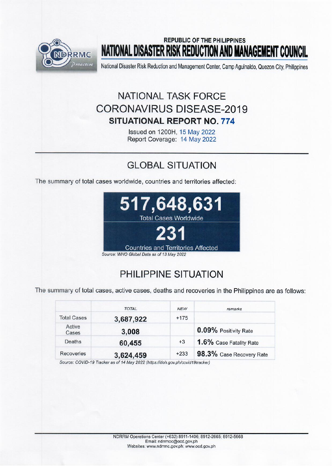

## **REPUBLIC OF THE PHILIPPINES** NATIONAL DISASTER RISK REDUCTION AND MANAGEMENT COUNCIL

National Disaster Risk Reduction and Management Center, Camp Aguinaldo, Quezon City, Philippines

# **NATIONAL TASK FORCE CORONAVIRUS DISEASE-2019 SITUATIONAL REPORT NO. 774**

Issued on 1200H, 15 May 2022 Report Coverage: 14 May 2022

# **GLOBAL SITUATION**

The summary of total cases worldwide, countries and territories affected:



# PHILIPPINE SITUATION

The summary of total cases, active cases, deaths and recoveries in the Philippines are as follows:

|                    | <b>TOTAL</b> | <b>NEW</b> | remarks                  |
|--------------------|--------------|------------|--------------------------|
| <b>Total Cases</b> | 3,687,922    | $+175$     |                          |
| Active<br>Cases    | 3,008        |            | 0.09% Positivity Rate    |
| Deaths             | 60,455       | $+3$       | 1.6% Case Fatality Rate  |
| Recoveries         | 3,624,459    | $+233$     | 98.3% Case Recovery Rate |

Source: COVID-19 Tracker as of 14 May 2022 (https://doh.gov.ph/covid19tracker)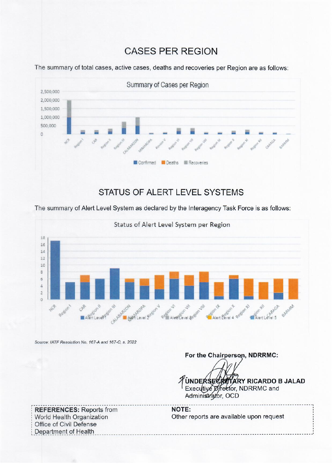### **CASES PER REGION**



The summary of total cases, active cases, deaths and recoveries per Region are as follows:

### **STATUS OF ALERT LEVEL SYSTEMS**

The summary of Alert Level System as declared by the Interagency Task Force is as follows:



**NOTE:** 

Source: IATF Resolution No. 167-A and 167-C, s. 2022

For the Chairperson, NDRRMC:

UNDERSECRETARY RICARDO B JALAD Executive Director, NDRRMC and Administrator, OCD

**REFERENCES: Reports from** World Health Organization Office of Civil Defense Department of Health

Other reports are available upon request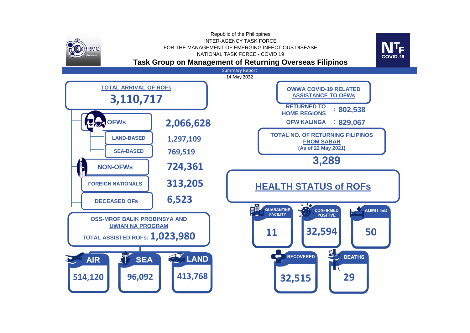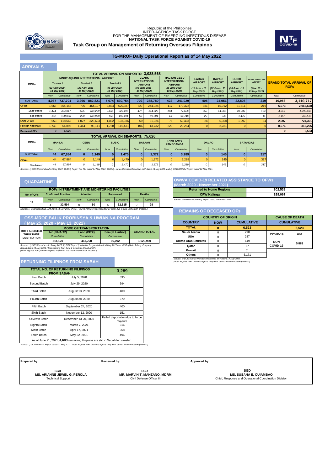

### **Task Group on Management of Returning Overseas Filipinos** Republic of the Philippines<br>INTER-AGENCY TASK FORCE<br>FOR THE MANAGEMENT OF EMERGING INFECTIOUS DISEASE<br>**NATIONAL TASK FORCE AGAINST COVID-19**



### **TG-MROF Daily Operational Report as of 14 May 2022**

| <b>ARRIVALS</b>                                                                                                                                                                     |              |                                    |              |                                  |            |                                          |                                      |                                             |                                            |                                       |                            |                            |                            |                            |          |                                              |  |
|-------------------------------------------------------------------------------------------------------------------------------------------------------------------------------------|--------------|------------------------------------|--------------|----------------------------------|------------|------------------------------------------|--------------------------------------|---------------------------------------------|--------------------------------------------|---------------------------------------|----------------------------|----------------------------|----------------------------|----------------------------|----------|----------------------------------------------|--|
|                                                                                                                                                                                     |              |                                    |              |                                  |            |                                          |                                      | <b>TOTAL ARRIVAL ON AIRPORTS: 3.028.568</b> |                                            |                                       |                            |                            |                            |                            |          |                                              |  |
|                                                                                                                                                                                     |              | NINOY AQUINO INTERNATIONAL AIRPORT |              |                                  |            |                                          | <b>CLARK</b><br><b>INTERNATIONAL</b> |                                             | <b>MACTAN-CEBU</b><br><b>INTERNATIONAL</b> |                                       | <b>LAOAG</b>               | <b>DAVAO</b>               | <b>SUBIC</b>               | <b>BOHOL-PANGLAO</b>       |          |                                              |  |
| <b>ROFs</b>                                                                                                                                                                         |              | <b>Terminal 1</b>                  |              | <b>Terminal 2</b>                |            | <b>Terminal 3</b>                        |                                      | <b>AIRPORT</b>                              |                                            | <b>AIRPORT</b>                        | <b>AIRPORT</b>             | <b>AIRPORT</b>             | <b>AIRPORT</b>             | <b>AIRPORT</b>             |          | <b>GRAND TOTAL ARRIVAL OF</b><br><b>ROFs</b> |  |
|                                                                                                                                                                                     |              | (23 April 2020 -<br>13 May 2022)   |              | (23 April 2020 -<br>13 May 2022) |            | (08 July 2020 -<br>13 May 2022)          |                                      | (05 June 2020 -<br>13 May 2022)             |                                            | (28 June 2020 -<br>13 May 2022)       | (18 June - 13<br>May 2022) | (27 June - 13<br>May 2022) | (18 June - 13<br>May 2022) | (Nov. 18 -<br>13 May 2022) |          |                                              |  |
|                                                                                                                                                                                     | <b>Now</b>   | Cumulative                         | <b>Now</b>   | Cumulative                       | <b>Now</b> | Cumulative                               | <b>Now</b>                           | Cumulative                                  | <b>Now</b>                                 | Cumulative                            | Cumulative                 | Cumulative                 | Cumulative                 | Cumulative                 | Now      | Cumulative                                   |  |
| <b>SUBTOTAL</b>                                                                                                                                                                     | 4,067        | 737,701                            | 3,266        | 882,821                          | 5,674      | 830,754                                  | 702                                  | 288,780                                     | 422                                        | 241,029                               | 405                        | 24,051                     | 22,808                     | 219                        | 16,956   | 3,110,717                                    |  |
| <b>OFWs</b>                                                                                                                                                                         | 1.666        | 554,143                            | 795          | 464.107                          | 2,824      | 520.387                                  | 527                                  | 244.024                                     | 117                                        | 170.372                               | 381                        | 15.912                     | 21.511                     | 219                        | 5.973    | 2,066,628                                    |  |
| Land-based                                                                                                                                                                          | 1.474        | 434,047                            | 595          | 280,209                          | 2,166      | 325.196                                  | 477                                  | 144.523                                     | 104                                        | 77,626                                | 352                        | 14,966                     | 20,036                     | 154                        | 4,816    | 1,297,109                                    |  |
| Sea-based                                                                                                                                                                           | 192          | 120,096                            | 200          | 183,898                          | 658        | 195.191                                  | 50                                   | 99.501                                      | 13                                         | 92.746                                | 29                         | 946                        | 1.475                      | 11                         | 1.157    | 769,519                                      |  |
| <b>NON-OFWs</b>                                                                                                                                                                     | 653          | 118,662                            | 1,027        | 323,603                          | 1.082      | 193.936                                  | 69                                   | 31.024                                      | 76                                         | 50.403                                | 24                         | 5.358                      | 1,297                      | 54                         | 2,907    | 724,361                                      |  |
| <b>Foreign Nationals</b>                                                                                                                                                            | 1.748        | 64.896                             | 1.444        | 95.111                           | 1.768      | 116,431                                  | 106                                  | 13,732                                      | 229                                        | 20.254                                |                            | 2.781                      | 0                          |                            | 8.076    | 313.205                                      |  |
| <b>Deceased OFs</b>                                                                                                                                                                 | $\mathbf{0}$ | 6,523                              |              |                                  |            |                                          |                                      |                                             |                                            |                                       |                            |                            |                            |                            | $\bf{0}$ | 6,523                                        |  |
|                                                                                                                                                                                     |              |                                    |              |                                  |            | <b>TOTAL ARRIVAL ON SEAPORTS: 75,626</b> |                                      |                                             |                                            |                                       |                            |                            |                            |                            |          |                                              |  |
| <b>ROFs</b>                                                                                                                                                                         |              | <b>MANILA</b>                      |              | <b>CEBU</b>                      |            | <b>SUBIC</b>                             |                                      | <b>BATAAN</b>                               |                                            | <b>TAWI-TAWI/</b><br><b>ZAMBOANGA</b> |                            | <b>DAVAO</b>               |                            | <b>BATANGAS</b>            |          |                                              |  |
|                                                                                                                                                                                     | <b>Now</b>   | Cumulative                         | <b>Now</b>   | Cumulative                       | Now        | Cumulative                               | <b>Now</b>                           | Cumulative                                  | Now                                        | Cumulative                            | <b>Now</b>                 | Cumulative                 | <b>Now</b>                 | Cumulative                 |          |                                              |  |
| <b>SUBTOTAL</b>                                                                                                                                                                     | 44           | 67,884                             | $\mathbf{0}$ | 1,149                            | $\Omega$   | 1,470                                    | $\bf{0}$                             | 1,372                                       | $\mathbf{0}$                               | 3,289                                 |                            | 145                        |                            | 317                        |          |                                              |  |
| <b>OFWs</b>                                                                                                                                                                         | 44           | 67,884                             | $\Omega$     | 1,149                            |            | 1.470                                    |                                      | 1.372                                       |                                            | 3,289                                 |                            | 145                        |                            | 317                        |          |                                              |  |
| Sea-based                                                                                                                                                                           | 44           | 67.884                             | $\Omega$     | 1.149                            |            | 1.470                                    | $\Omega$                             | 1.372                                       |                                            | 3.289                                 |                            | 145                        | $\Omega$                   | 317                        |          |                                              |  |
| Sources: 1) OSS Report dated 13 May 2022, 2) BOQ Report No. 724 dated 14 May 2022, 3) BOQ Human Remains Report No. 667 dated 14 May 2022, and 4) OCD BARMM Report dated 22 May 2021 |              |                                    |              |                                  |            |                                          |                                      |                                             |                                            |                                       |                            |                            |                            |                            |          |                                              |  |

### **QUARANTINE**

| <b>ROFS IN TREATMENT AND MONITORING FACILITIES</b>                                                                                  |            |                           |                              |            |            |               |            |            |  |
|-------------------------------------------------------------------------------------------------------------------------------------|------------|---------------------------|------------------------------|------------|------------|---------------|------------|------------|--|
| No. of QFs                                                                                                                          |            | <b>Confirmed Positive</b> | <b>Admitted</b><br>Recovered |            |            | <b>Deaths</b> |            |            |  |
| 11                                                                                                                                  | <b>Now</b> | Cumulative                | <b>Now</b>                   | Cumulative | <b>Now</b> | Cumulative    | <b>Now</b> | Cumulative |  |
|                                                                                                                                     |            | 32.594                    |                              | 50         |            | 32.515        |            | 29         |  |
| Source: 1) ROO Report No. 724 dated 14 May 2022. (Note: Eigures from previous reports may differ due to data verification process.) |            |                           |                              |            |            |               |            |            |  |

|                                    | <b>OSS-MROF BALIK PROBINSYA &amp; UWIAN NA PROGRAM</b><br>(Mav 25. 2020 - Mav 13. 2022) |                               |                 |                    |
|------------------------------------|-----------------------------------------------------------------------------------------|-------------------------------|-----------------|--------------------|
| <b>ROFS ASSISTED</b><br>THRU THEIR |                                                                                         | <b>MODE OF TRANSPORTATION</b> |                 |                    |
|                                    | Air (NAIA T2)                                                                           | Land (PITX)                   | Sea (N. Harbor) | <b>GRAND TOTAL</b> |
|                                    |                                                                                         |                               |                 |                    |

| <b>DESTINATION</b>                                                                                                             | Cumulative | Cumulative | Cumulative |           |  |  |  |  |
|--------------------------------------------------------------------------------------------------------------------------------|------------|------------|------------|-----------|--|--|--|--|
|                                                                                                                                | 514.120    | 413.768    | 96.092     | 1.023.980 |  |  |  |  |
| Sources: 1) OSS Report as of 13 May 2022, 2) PITX Report (Uwian Na Program) dated 14 May 2022 and *DOTr (Hatid Tulong Program) |            |            |            |           |  |  |  |  |
| Report dated 14 May 2021, *Data starting from June 2 includes LSI and APOR.                                                    |            |            |            |           |  |  |  |  |
| (Note: Figures from previous reports may differ due to data verification process.)                                             |            |            |            |           |  |  |  |  |

### **RETURNING FILIPINOS FROM SABAH**

| <b>TOTAL NO. OF RETURNING FILIPINOS</b><br><b>FROM SABAH:</b> | 3,289                                                                           |                                                                                                                                  |
|---------------------------------------------------------------|---------------------------------------------------------------------------------|----------------------------------------------------------------------------------------------------------------------------------|
| <b>First Batch</b>                                            | July 5, 2020                                                                    | 395                                                                                                                              |
| Second Batch                                                  | July 29, 2020                                                                   | 394                                                                                                                              |
| Third Batch                                                   | August 13, 2020                                                                 | 400                                                                                                                              |
| Fourth Batch                                                  | August 28, 2020                                                                 | 379                                                                                                                              |
| Fifth Batch                                                   | September 24, 2020                                                              | 400                                                                                                                              |
| Sixth Batch                                                   | November 12, 2020                                                               | 151                                                                                                                              |
| Seventh Batch                                                 | December 13-20, 2020                                                            | Failed deportation due to force<br>majeure                                                                                       |
| Eighth Batch                                                  | March 7, 2021                                                                   | 316                                                                                                                              |
| Ninth Batch                                                   | April 17, 2021                                                                  | 358                                                                                                                              |
| <b>Tenth Batch</b>                                            | May 22, 2021                                                                    | 496                                                                                                                              |
|                                                               | As of June 21, 2021, 4,683 remaining Filipinos are still in Sabah for transfer. | Source: 1) OCD BARMM Report dated 22 May 2021. (Note: Figures from previous reports may differ due to data verification process. |

**Prepared by: Reviewed by: Reviewed by:** 

**SGD MS. ARIANNE JEWEL G. PEROLA**

**MS. ARIANNE JEWEL G. PEROLA MR. MARVIN T. MANZANO, MDRM**<br>Technical Support Civil Defense Officer III **SGD**

**SGD MS. SUSANA E. QUIAMBAO** Chief, Response and Operational Coordination Division

**OWWA COVID-19 RELATED ASSISTANCE TO OFWs (March 2020 - November 2021) Returned to Home Regions 802,538 OFW Kalinga 829,067** 

*Source: 1) OWWA Monitoring Report dated November 2021.*

### *Source: 1) BOQ Report No. 724 dated 14 May 2022. (Note: Figures from previous reports may differ due to data verification process.)* **REMAINS OF DECEASED OFs**

| ÀМ                 |                             | <b>COUNTRY OF ORIGIN</b> | <b>CAUSE OF DEATH</b> |            |                   |
|--------------------|-----------------------------|--------------------------|-----------------------|------------|-------------------|
|                    | <b>COUNTRY</b>              | <b>NOW</b>               | <b>CUMULATIVE</b>     |            | <b>CUMULATIVE</b> |
|                    | <b>TOTAL</b>                |                          | 6.523                 |            | 6,523             |
| <b>GRAND TOTAL</b> | Saudi Arabia                |                          | 798                   | COVID-19   | 640               |
|                    | <b>USA</b>                  |                          | 287                   |            |                   |
| 1.023.980          | <b>United Arab Emirates</b> |                          | 149                   | <b>NON</b> | 5,883             |
| Tulong Program)    | Qatar                       |                          | 67                    | COVID-19   |                   |
|                    | Kuwait                      |                          | 51                    |            |                   |
|                    | <b>Others</b>               |                          | 5.171                 |            |                   |

0 5,171 *Source: 1) BOQ Human Remains Report No. 667 dated 14 May 2022. (Note: Figures from previous reports may differ due to data verification process.)*

**Approved by:**